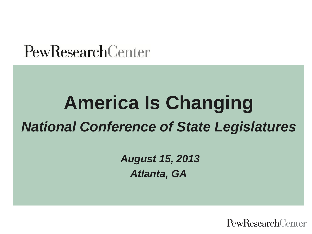## **PewResearchCenter**

# **America Is Changing** *National Conference of State Legislatures*

*August 15, 2013 Atlanta, GA*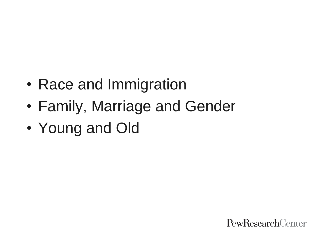- Race and Immigration
- Family, Marriage and Gender
- Young and Old

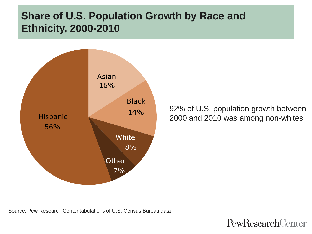#### **Share of U.S. Population Growth by Race and Ethnicity, 2000-2010**



92% of U.S. population growth between 2000 and 2010 was among non-whites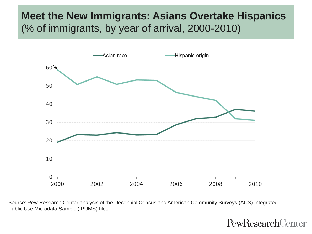#### **Meet the New Immigrants: Asians Overtake Hispanics** (% of immigrants, by year of arrival, 2000-2010)



Source: Pew Research Center analysis of the Decennial Census and American Community Surveys (ACS) Integrated Public Use Microdata Sample (IPUMS) files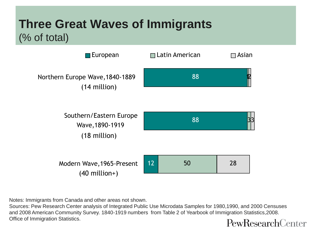## **Three Great Waves of Immigrants**  (% of total)



Notes: Immigrants from Canada and other areas not shown.

Sources: Pew Research Center analysis of Integrated Public Use Microdata Samples for 1980,1990, and 2000 Censuses and 2008 American Community Survey. 1840-1919 numbers from Table 2 of Yearbook of Immigration Statistics,2008. Office of Immigration Statistics. PewResearchCenter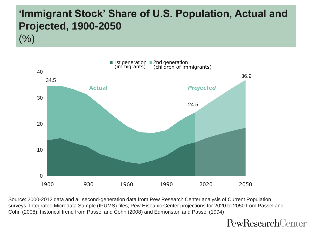## **'Immigrant Stock' Share of U.S. Population, Actual and Projected, 1900-2050**

 $(%)$ 



Source: 2000-2012 data and all second-generation data from Pew Research Center analysis of Current Population surveys, Integrated Microdata Sample (IPUMS) files; Pew Hispanic Center projections for 2020 to 2050 from Passel and Cohn (2008); historical trend from Passel and Cohn (2008) and Edmonston and Passel (1994)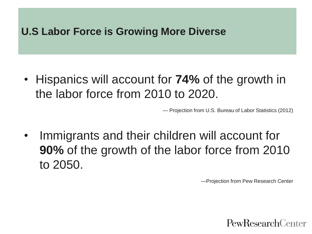#### **U.S Labor Force is Growing More Diverse**

• Hispanics will account for **74%** of the growth in the labor force from 2010 to 2020.

— Projection from U.S. Bureau of Labor Statistics (2012)

Immigrants and their children will account for **90%** of the growth of the labor force from 2010 to 2050.

—Projection from Pew Research Center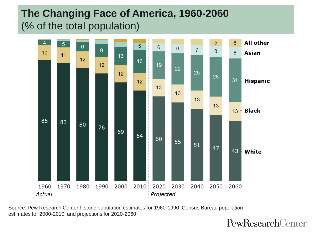## **The Changing Face of America, 1960-2060** (% of the total population)



Source: Pew Research Center historic population estimates for 1960-1990, Census Bureau population estimates for 2000-2010, and projections for 2020-2060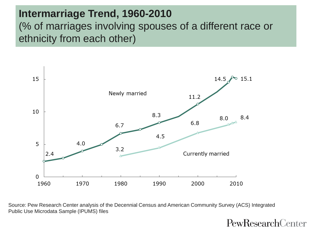#### **Intermarriage Trend, 1960-2010** (% of marriages involving spouses of a different race or ethnicity from each other)



Source: Pew Research Center analysis of the Decennial Census and American Community Survey (ACS) Integrated Public Use Microdata Sample (IPUMS) files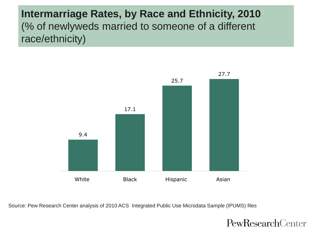#### **Intermarriage Rates, by Race and Ethnicity, 2010** (% of newlyweds married to someone of a different race/ethnicity)



Source: Pew Research Center analysis of 2010 ACS Integrated Public Use Microdata Sample (IPUMS) files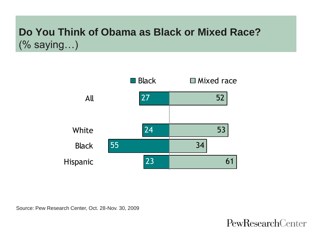#### **Do You Think of Obama as Black or Mixed Race?** (% saying…)

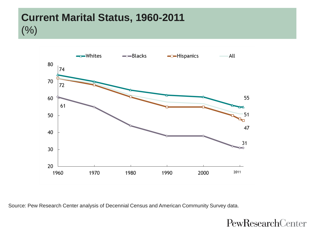#### **Current Marital Status, 1960-2011**  $(%)$



Source: Pew Research Center analysis of Decennial Census and American Community Survey data.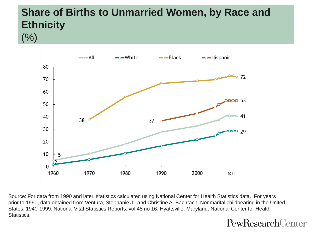## **Share of Births to Unmarried Women, by Race and Ethnicity**

 $(%)$ 



Source: For data from 1990 and later, statistics calculated using National Center for Health Statistics data. For years prior to 1990, data obtained from Ventura, Stephanie J., and Christine A. Bachrach. Nonmarital childbearing in the United States, 1940-1999. National Vital Statistics Reports; vol 48 no 16. Hyattsville, Maryland: National Center for Health Statistics.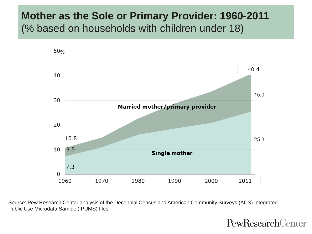#### **Mother as the Sole or Primary Provider: 1960-2011** (% based on households with children under 18)



Source: Pew Research Center analysis of the Decennial Census and American Community Surveys (ACS) Integrated Public Use Microdata Sample (IPUMS) files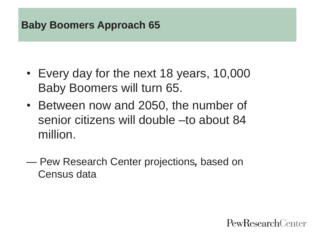## **Baby Boomers Approach 65**

- Every day for the next 18 years, 10,000 Baby Boomers will turn 65.
- Between now and 2050, the number of senior citizens will double –to about 84 million.
- Pew Research Center projections*,* based on Census data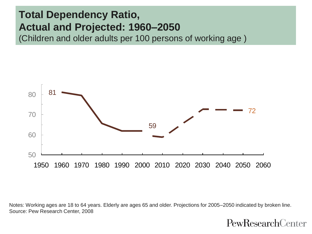#### **Total Dependency Ratio, Actual and Projected: 1960–2050**

(Children and older adults per 100 persons of working age )



Notes: Working ages are 18 to 64 years. Elderly are ages 65 and older. Projections for 2005–2050 indicated by broken line. Source: Pew Research Center, 2008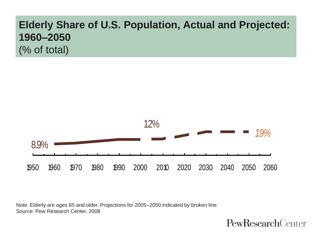## **Elderly Share of U.S. Population, Actual and Projected: 1960–2050** (% of total)



Note: Elderly are ages 65 and older. Projections for 2005–2050 indicated by broken line. Source: Pew Research Center, 2008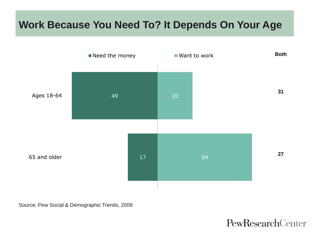## **Work Because You Need To? It Depends On Your Age**



Source: Pew Social & Demographic Trends, 2009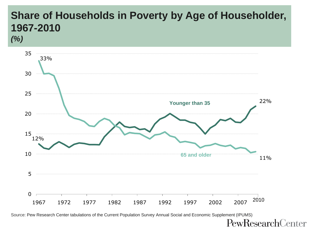## **Share of Households in Poverty by Age of Householder, 1967-2010**

*(%)*



Source: Pew Research Center tabulations of the Current Population Survey Annual Social and Economic Supplement (IPUMS)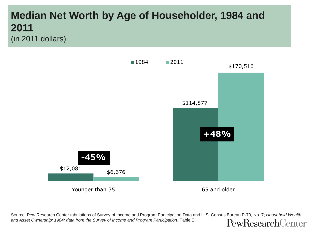#### **Median Net Worth by Age of Householder, 1984 and 2011** (in 2011 dollars)



Source: Pew Research Center tabulations of Survey of Income and Program Participation Data and U.S. Census Bureau P-70, No. 7; *Household Wealth and Asset Ownership: 1984: data from the Survey of Income and Program Participation*, Table E PewResearchCenter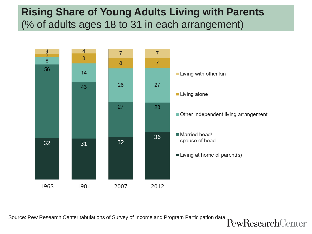#### **Rising Share of Young Adults Living with Parents** (% of adults ages 18 to 31 in each arrangement)



Source: Pew Research Center tabulations of Survey of Income and Program Participation data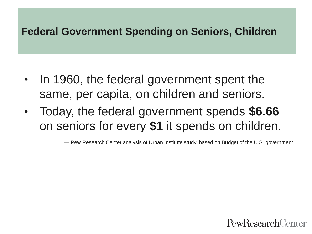#### **Federal Government Spending on Seniors, Children**

- In 1960, the federal government spent the same, per capita, on children and seniors.
- Today, the federal government spends **\$6.66** on seniors for every **\$1** it spends on children.

— Pew Research Center analysis of Urban Institute study, based on Budget of the U.S. government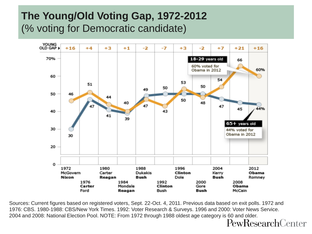#### **The Young/Old Voting Gap, 1972-2012** (% voting for Democratic candidate)



Sources: Current figures based on registered voters, Sept. 22-Oct. 4, 2011. Previous data based on exit polls. 1972 and 1976: CBS. 1980-1988: CBS/New York Times. 1992: Voter Research & Surveys. 1996 and 2000: Voter News Service. 2004 and 2008: National Election Pool. NOTE: From 1972 through 1988 oldest age category is 60 and older.<br>Pew $\mathrm{ResearchCenter}$